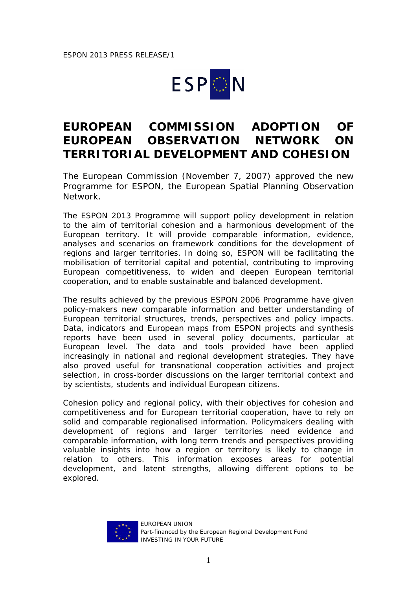## **ESPON**

## **EUROPEAN COMMISSION ADOPTION OF EUROPEAN OBSERVATION NETWORK ON TERRITORIAL DEVELOPMENT AND COHESION**

The European Commission (November 7, 2007) approved the new Programme for ESPON, the European Spatial Planning Observation Network.

The ESPON 2013 Programme will support policy development in relation to the aim of territorial cohesion and a harmonious development of the European territory. It will provide comparable information, evidence, analyses and scenarios on framework conditions for the development of regions and larger territories. In doing so, ESPON will be facilitating the mobilisation of territorial capital and potential, contributing to improving European competitiveness, to widen and deepen European territorial cooperation, and to enable sustainable and balanced development.

The results achieved by the previous ESPON 2006 Programme have given policy-makers new comparable information and better understanding of European territorial structures, trends, perspectives and policy impacts. Data, indicators and European maps from ESPON projects and synthesis reports have been used in several policy documents, particular at European level. The data and tools provided have been applied increasingly in national and regional development strategies. They have also proved useful for transnational cooperation activities and project selection, in cross-border discussions on the larger territorial context and by scientists, students and individual European citizens.

Cohesion policy and regional policy, with their objectives for cohesion and competitiveness and for European territorial cooperation, have to rely on solid and comparable regionalised information. Policymakers dealing with development of regions and larger territories need evidence and comparable information, with long term trends and perspectives providing valuable insights into how a region or territory is likely to change in relation to others. This information exposes areas for potential development, and latent strengths, allowing different options to be explored.